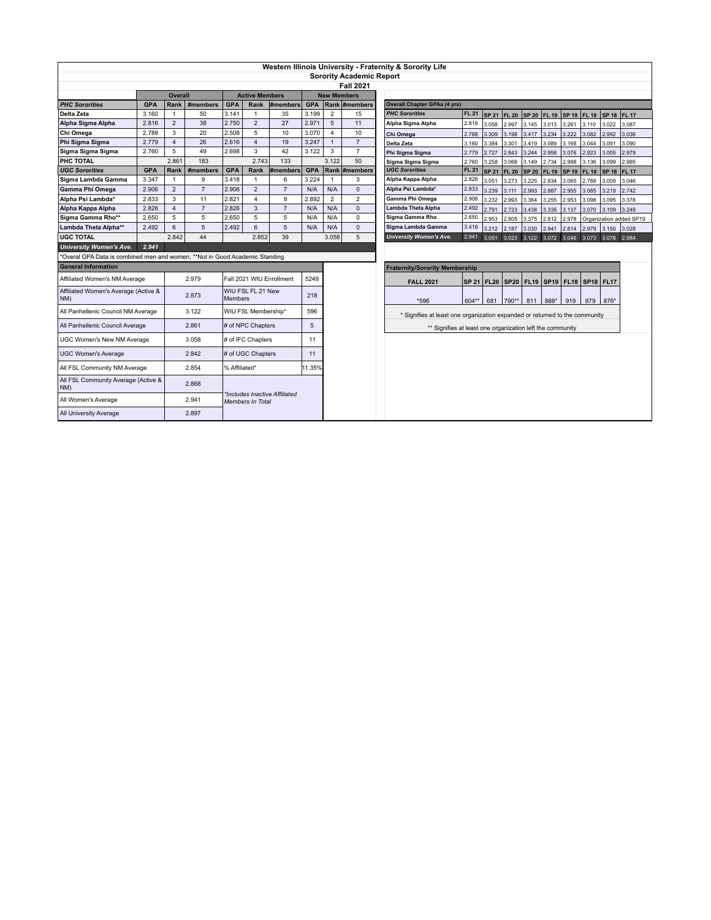| Western Illinois University - Fraternity & Sorority Life                    |                |                     |                      |                                                          |                                  |                     |                    |                     |                                                                             |                                                                                                                                                                |  |  |  |  |  |  |
|-----------------------------------------------------------------------------|----------------|---------------------|----------------------|----------------------------------------------------------|----------------------------------|---------------------|--------------------|---------------------|-----------------------------------------------------------------------------|----------------------------------------------------------------------------------------------------------------------------------------------------------------|--|--|--|--|--|--|
|                                                                             |                |                     |                      |                                                          |                                  |                     |                    |                     | <b>Sorority Academic Report</b>                                             |                                                                                                                                                                |  |  |  |  |  |  |
|                                                                             |                |                     |                      |                                                          |                                  |                     |                    |                     | <b>Fall 2021</b>                                                            |                                                                                                                                                                |  |  |  |  |  |  |
|                                                                             |                | <b>Overall</b>      |                      | <b>Active Members</b>                                    |                                  |                     | <b>New Members</b> |                     |                                                                             |                                                                                                                                                                |  |  |  |  |  |  |
| <b>PHC Sororities</b>                                                       | <b>GPA</b>     | Rank                | #members             | <b>GPA</b>                                               | Rank                             | #members            | <b>GPA</b>         | Rank #members       |                                                                             | <b>Overall Chapter GPAs (4 yrs)</b>                                                                                                                            |  |  |  |  |  |  |
| Delta Zeta                                                                  | 3.160          | $\overline{1}$      | 50                   | 3.141                                                    | $\overline{1}$                   | 35                  | 3.199              | $\overline{2}$      | 15                                                                          | <b>PHC Sororities</b><br><b>FL 21</b><br><b>SP 21</b><br><b>FL 20</b><br><b>SP 20</b><br><b>FL 19</b><br>SP 19 FL 18<br>SP 18 FL 17                            |  |  |  |  |  |  |
| Alpha Sigma Alpha                                                           | 2.816          | $\overline{2}$      | 38                   | 2.750                                                    | $\overline{2}$                   | 27                  | 2.971              | 5                   | 11                                                                          | 2.816<br>Alpha Sigma Alpha<br>3.058<br>2.997<br>3.110<br>3.145<br>3.013<br>3.261<br>3.022<br>3.087                                                             |  |  |  |  |  |  |
| Chi Omega                                                                   | 2.788          | 3                   | 20                   | 2.508                                                    | 5                                | 10                  | 3.070              | $\overline{4}$      | 10                                                                          | 3.309<br>3.198<br>3.417<br>3.234<br>3.222<br>3.082<br>2.992<br>3.036<br>Chi Omega<br>2.788                                                                     |  |  |  |  |  |  |
| Phi Sigma Sigma                                                             | 2.779          | $\overline{4}$      | 26                   | 2.616                                                    | $\overline{\mathbf{4}}$          | 19                  | 3.247              | $\mathbf{1}$        | $\overline{7}$                                                              | 3.384<br>3.301<br>3.089<br>3.168<br>3.044<br>3.091<br>3.090<br>Delta Zeta<br>3.160<br>3.419                                                                    |  |  |  |  |  |  |
| Sigma Sigma Sigma                                                           | 2.760          | 5                   | 49                   | 2.698                                                    | 3                                | 42                  | 3.122              | 3                   | $\overline{7}$                                                              | 2.727<br>2.843<br>3.244<br>2.958<br>2.923<br>3.005<br>2.979<br>Phi Sigma Sigma<br>2.779<br>3.076                                                               |  |  |  |  |  |  |
| PHC TOTAL                                                                   |                | 2.861               | 183                  |                                                          | 2.743                            | 133                 |                    | 3.122               | 50                                                                          | 3.258<br>3.068<br>3.149<br>2.734<br>2.998<br>3.136<br>2.995<br>2.760<br>3.099<br>Sigma Sigma Sigma                                                             |  |  |  |  |  |  |
| <b>UGC Sororities</b>                                                       | <b>GPA</b>     | Rank                | #members             | <b>GPA</b>                                               | Rank                             | #members            | <b>GPA</b>         |                     | Rank #members                                                               | <b>UGC Sororities</b><br><b>FL 21</b><br><b>SP 21</b><br><b>FL 20</b><br><b>SP 20</b><br>FL 19<br><b>FL 18</b><br><b>FL 17</b><br><b>SP 19</b><br><b>SP 18</b> |  |  |  |  |  |  |
| Sigma Lambda Gamma                                                          | 3.347<br>2.906 | $\overline{1}$<br>2 | 9<br>$\overline{7}$  | 3.418<br>2.906                                           | $\overline{1}$<br>$\overline{2}$ | 6<br>$\overline{7}$ | 3.224<br>N/A       | $\mathbf{1}$<br>N/A | 3<br>$\mathbf{0}$                                                           | Alpha Kappa Alpha<br>2.826<br>3.051<br>3.273<br>3.225<br>2.834<br>2.768<br>3.009<br>3.046<br>3.065                                                             |  |  |  |  |  |  |
| Gamma Phi Omega                                                             |                | 3                   |                      |                                                          | $\overline{\mathbf{4}}$          | 9                   |                    | $\overline{2}$      |                                                                             | Alpha Psi Lambda*<br>2.833<br>3.239<br>2.742<br>2.993<br>2.887<br>2.955<br>3.219<br>3.111<br>3.065<br>Gamma Phi Omega                                          |  |  |  |  |  |  |
| Alpha Psi Lambda*                                                           | 2.833          | $\overline{4}$      | 11<br>$\overline{7}$ | 2.821                                                    | 3                                | $\overline{7}$      | 2.892              |                     | $\overline{2}$<br>$\Omega$                                                  | 2.906<br>3.232<br>2.993<br>3.364<br>3.255<br>2.953<br>3.098<br>3.095<br>3.378<br>Lambda Theta Alpha<br>2.492                                                   |  |  |  |  |  |  |
| Alpha Kappa Alpha<br>Sigma Gamma Rho**                                      | 2.826<br>2.650 | 5                   | 5                    | 2.826<br>2.650                                           | 5                                | 5                   | N/A<br>N/A         | N/A<br>N/A          | $\Omega$                                                                    | 2.791<br>2.723<br>3.438<br>3.137<br>3.070<br>3.249<br>3.335<br>3.109<br>Sigma Gamma Rho<br>2.650                                                               |  |  |  |  |  |  |
| Lambda Theta Alpha**                                                        | 2.492          | 6                   | 5                    | 2.492                                                    | 6                                | 5                   | N/A                | N/A                 | $\Omega$                                                                    | 2.953<br>3.375<br>2.805<br>2.612<br>2.978<br>Organization added SP19<br>Sigma Lambda Gamma<br>3.418                                                            |  |  |  |  |  |  |
| <b>UGC TOTAL</b>                                                            |                | 2.842               | 44                   |                                                          | 2.852                            | 39                  |                    | 3.058               | 5                                                                           | 3.212<br>2.187<br>3.030<br>2.979<br>3.150<br>3.028<br>2.941<br>2.814<br><b>University Women's Ave.</b><br>2.941<br>3.051                                       |  |  |  |  |  |  |
| <b>University Women's Ave.</b>                                              | 2.941          |                     |                      |                                                          |                                  |                     |                    |                     |                                                                             | 3.023 3.122 3.072 3.046 3.073 3.078 2.984                                                                                                                      |  |  |  |  |  |  |
| *Overal GPA Data is combined men and women, **Not in Good Academic Standing |                |                     |                      |                                                          |                                  |                     |                    |                     |                                                                             |                                                                                                                                                                |  |  |  |  |  |  |
| <b>General Information</b>                                                  |                |                     |                      |                                                          |                                  |                     |                    |                     |                                                                             |                                                                                                                                                                |  |  |  |  |  |  |
|                                                                             |                |                     |                      |                                                          |                                  |                     |                    |                     |                                                                             | <b>Fraternity/Sorority Membership</b>                                                                                                                          |  |  |  |  |  |  |
| Affiliated Women's NM Average                                               |                |                     | 2.979                | Fall 2021 WIU Enrollment                                 |                                  |                     | 5249               |                     |                                                                             | SP 21   FL20   SP20   FL19   SP19   FL18   SP18   FL17<br><b>FALL 2021</b>                                                                                     |  |  |  |  |  |  |
| Affiliated Women's Average (Active &<br>NM)                                 |                |                     | 2.873                | WIU FSL FL 21 New<br>Members                             |                                  | 218                 |                    |                     | *596<br>604**<br>681<br>790**<br>811<br>888*<br>919<br>879<br>876*          |                                                                                                                                                                |  |  |  |  |  |  |
| All Panhellenic Council NM Average                                          |                |                     | 3.122                | WIU FSL Membership*                                      |                                  | 596                 |                    |                     | * Signifies at least one organization expanded or returned to the community |                                                                                                                                                                |  |  |  |  |  |  |
| All Panhellenic Council Average                                             |                |                     | 2.861                | # of NPC Chapters                                        |                                  |                     | 5                  |                     |                                                                             | ** Signifies at least one organization left the community                                                                                                      |  |  |  |  |  |  |
| JGC Women's New NM Average                                                  |                |                     | 3.058                | # of IFC Chapters                                        |                                  |                     | 11                 |                     |                                                                             |                                                                                                                                                                |  |  |  |  |  |  |
| <b>UGC Women's Average</b>                                                  |                |                     | 2.842                | # of UGC Chapters                                        |                                  |                     | 11                 |                     |                                                                             |                                                                                                                                                                |  |  |  |  |  |  |
| 2.854<br>All FSL Community NM Average                                       |                |                     | % Affiliated*        |                                                          | 11.35%                           |                     |                    |                     |                                                                             |                                                                                                                                                                |  |  |  |  |  |  |
| All FSL Community Average (Active &<br>2.868<br>NM)                         |                |                     |                      |                                                          |                                  |                     |                    |                     |                                                                             |                                                                                                                                                                |  |  |  |  |  |  |
| All Women's Average                                                         |                | 2.941               |                      | *Includes Inactive Affiliated<br><b>Members In Total</b> |                                  |                     |                    |                     |                                                                             |                                                                                                                                                                |  |  |  |  |  |  |
| All University Average                                                      |                |                     | 2.897                |                                                          |                                  |                     |                    |                     |                                                                             |                                                                                                                                                                |  |  |  |  |  |  |
|                                                                             |                |                     |                      |                                                          |                                  |                     |                    |                     |                                                                             |                                                                                                                                                                |  |  |  |  |  |  |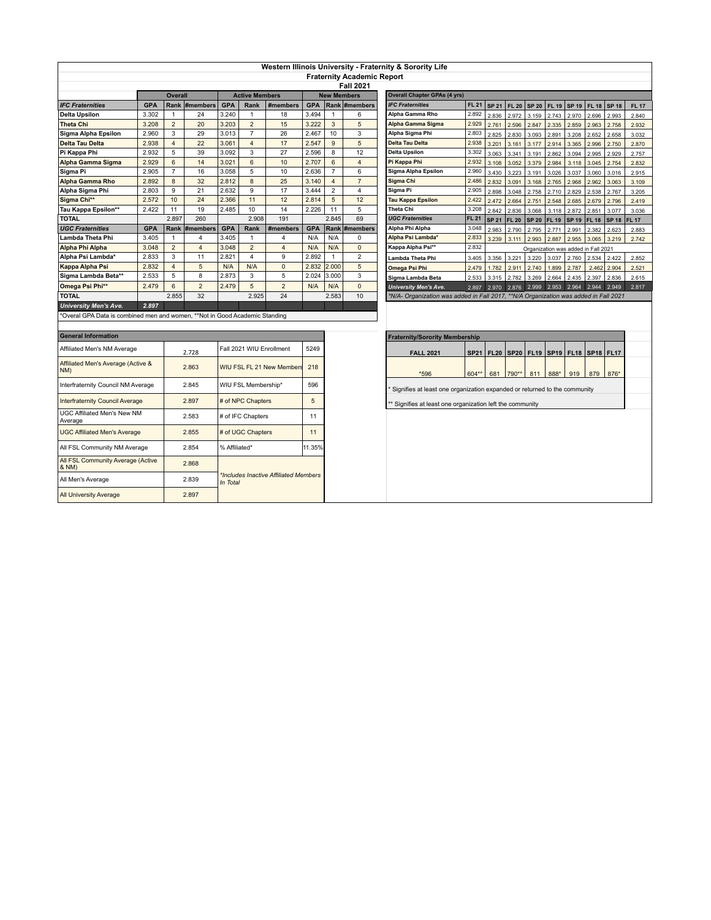| Western Illinois University - Fraternity & Sorority Life                    |                                                       |                     |                   |                                                   |                       |                     |                    |                       |                                |                                                                                      |                |              |                                                |                                     |              |              |              |              |              |
|-----------------------------------------------------------------------------|-------------------------------------------------------|---------------------|-------------------|---------------------------------------------------|-----------------------|---------------------|--------------------|-----------------------|--------------------------------|--------------------------------------------------------------------------------------|----------------|--------------|------------------------------------------------|-------------------------------------|--------------|--------------|--------------|--------------|--------------|
|                                                                             | <b>Fraternity Academic Report</b><br><b>Fall 2021</b> |                     |                   |                                                   |                       |                     |                    |                       |                                |                                                                                      |                |              |                                                |                                     |              |              |              |              |              |
|                                                                             |                                                       |                     |                   |                                                   |                       |                     |                    |                       |                                |                                                                                      |                |              |                                                |                                     |              |              |              |              |              |
|                                                                             |                                                       | <b>Overall</b>      |                   | <b>Active Members</b>                             |                       |                     | <b>New Members</b> |                       |                                | <b>Overall Chapter GPAs (4 yrs)</b>                                                  |                |              |                                                |                                     |              |              |              |              |              |
| <b>IFC Fraternities</b>                                                     | <b>GPA</b>                                            |                     | Rank #members     | <b>GPA</b>                                        | Rank                  | #members            | <b>GPA</b>         |                       | Rank #members                  | <b>IFC Fraternities</b>                                                              | <b>FL 21</b>   | <b>SP 21</b> | <b>FL 20</b>                                   | <b>SP 20</b>                        | <b>FL 19</b> | <b>SP 19</b> | <b>FL 18</b> | SP 18        | <b>FL 17</b> |
| <b>Delta Upsilon</b>                                                        | 3.302                                                 | $\mathbf{1}$        | 24                | 3.240                                             | $\mathbf{1}$          | 18                  | 3.494              | 1                     | 6                              | Alpha Gamma Rho                                                                      | 2.892          | 2.836        | 2.972                                          | 3.159                               | 2.743        | 2.970        | 2.696        | 2.993        | 2.840        |
| <b>Theta Chi</b>                                                            | 3.208                                                 | $\overline{2}$      | 20                | 3.203                                             | $\overline{2}$        | 15                  | 3.222              | $\mathbf{3}$          | 5                              | Alpha Gamma Sigma                                                                    | 2.929          | 2.761        | 2.596                                          | 2.847                               | 2.335        | 2.859        | 2.963        | 2.758        | 2.932        |
| Sigma Alpha Epsilon                                                         | 2.960                                                 | 3                   | 29                | 3.013                                             | $\overline{7}$        | 26                  | 2.467              | 10                    | 3                              | Alpha Sigma Phi                                                                      | 2.803          | 2.825        | 2.830                                          | 3.093                               | 2.891        | 3.208        | 2.652        | 2.658        | 3.032        |
| <b>Delta Tau Delta</b>                                                      | 2.938                                                 | $\overline{4}$      | 22                | 3.061                                             | $\overline{4}$        | 17                  | 2.547              | 9                     | 5                              | <b>Delta Tau Delta</b>                                                               | 2.938          | 3.201        | 3.161                                          | 3.177                               | 2.914        | 3.365        | 2.996        | 2.750        | 2.870        |
| Pi Kappa Phi                                                                | 2.932                                                 | 5                   | 39                | 3.092                                             | 3<br>6                | 27                  | 2.596              | 8                     | 12<br>$\overline{4}$           | <b>Delta Upsilon</b>                                                                 | 3.302          | 3.063        | 3.341                                          | 3.191                               | 2.862        | 3.094        | 2.995        | 2.929        | 2.757        |
| Alpha Gamma Sigma                                                           | 2.929                                                 | 6                   | 14                | 3.021                                             |                       | 10                  | 2.707              | 6                     |                                | Pi Kappa Phi<br>2.932                                                                |                | 3.108        | 3.052                                          | 3.379                               | 2.984        | 3.118        | 3.045        | 2.754        | 2.832        |
| Sigma Pi                                                                    | 2.905                                                 | $\overline{7}$      | 16                | 3.058                                             | 5<br>$\overline{8}$   | 10                  | 2.636              | $\overline{7}$        | 6                              | Sigma Alpha Epsilon                                                                  | 2.960          | 3.430        | 3.223                                          | 3.191                               | 3.026        | 3.037        | 3.060        | 3.016        | 2.915        |
| <b>Alpha Gamma Rho</b>                                                      | 2.892                                                 | 8                   | 32                | 2.812                                             | $\mathbf{Q}$          | 25                  | 3.140              | $\overline{4}$        | $\overline{7}$                 | Sigma Chi                                                                            | 2.486<br>2.905 | 2.832        | 3.091                                          | 3.168                               | 2.765        | 2.968        | 2.962        | 3.063        | 3.109        |
| Alpha Sigma Phi                                                             | 2.803                                                 | 9                   | 21                | 2.632                                             |                       | 17                  | 3.444              | $\overline{2}$        | $\overline{4}$                 | Sigma Pi                                                                             |                | 2.898        | 3.048                                          | 2.758                               | 2.710        | 2.829        | 2.538        | 2.767        | 3.205        |
| Sigma Chi**                                                                 | 2.572                                                 | 10                  | 24                | 2.366                                             | 11<br>10              | 12<br>14            | 2.814              | 5                     | 12<br>5                        | Tau Kappa Epsilon<br>Theta Chi                                                       | 2.422          | 2.472        | 2.664                                          | 2.751                               | 2.548        | 2.685        | 2.679        | 2.796        | 2.419        |
| Tau Kappa Epsilon**                                                         | 2.422                                                 | 11                  | 19                | 2.485                                             |                       |                     | 2.226              | 11                    |                                |                                                                                      | 3.208          | 2.842        | 2.836                                          | 3.068                               | 3.118        | 2.872        | 2.851        | 3.077        | 3.036        |
| <b>TOTAL</b>                                                                |                                                       | 2.897               | 260               |                                                   | 2.908                 | 191                 |                    | 2.845                 | 69                             | <b>UGC Fraternities</b><br><b>FL 21</b>                                              |                | <b>SP 21</b> | <b>FL 20</b>                                   | <b>SP 20</b>                        | <b>FL 19</b> | <b>SP 19</b> | <b>FL 18</b> | <b>SP 18</b> | <b>FL 17</b> |
| <b>UGC Fraternities</b>                                                     | <b>GPA</b>                                            |                     | Rank #members     | <b>GPA</b>                                        | Rank                  | #members            | <b>GPA</b>         |                       | Rank #members                  | Alpha Phi Alpha                                                                      | 3.048          | 2.983        | 2.790                                          | 2.795                               | 2.771        | 2.991        | 2.382        | 2.623        | 2.883        |
| Lambda Theta Phi                                                            | 3.405                                                 | $\overline{1}$      | $\overline{4}$    | 3.405                                             | $\mathbf{1}$          | 4                   | N/A                | N/A                   | 0                              | Alpha Psi Lambda*<br>2.833                                                           |                | 3.239        | 3.111                                          | 2.993                               | 2.887        | 2.955        | 3.065        | 3.219        | 2.742        |
| Alpha Phi Alpha                                                             | 3.048                                                 | $\overline{2}$      | $\overline{4}$    | 3.048                                             | $\overline{2}$        | $\overline{4}$<br>9 | N/A                | N/A                   | $\mathbf{0}$<br>$\overline{2}$ | Kappa Alpha Psi**                                                                    | 2.832          |              |                                                | Organization was added in Fall 2021 |              |              |              |              |              |
| Alpha Psi Lambda*                                                           | 2.833                                                 | 3<br>$\overline{4}$ | 11<br>5           | 2.821                                             | $\overline{4}$<br>N/A | $\mathbf 0$         | 2.892              | $\mathbf{1}$<br>2.000 | 5                              | Lambda Theta Phi                                                                     | 3.405          | 3.356        | 3.221                                          | 3.220                               | 3.037        | 2.760        | 2.534        | 2.422        | 2.852        |
| Kappa Alpha Psi                                                             | 2.832                                                 | 5                   | 8                 | N/A                                               | 3                     | 5                   | 2.832<br>2.024     |                       | 3                              | Omega Psi Phi                                                                        | 2.479          | 1.782        | 2.911                                          | 2.740                               | 1.899        | 2.787        | 2.462        | 2.904        | 2.521        |
| Sigma Lambda Beta**                                                         | 2.533                                                 |                     | $\overline{2}$    | 2.873                                             | 5                     | $\overline{2}$      |                    | 3.000                 | $\mathbf{0}$                   | Sigma Lambda Beta                                                                    | 2.533          | 3.315        | 2.782                                          | 3.269                               | 2.664        | 2.435        | 2.397        | 2.836        | 2.615        |
| Omega Psi Phi**                                                             | 2.479                                                 | 6                   |                   | 2.479                                             |                       |                     | N/A                | N/A                   |                                | <b>University Men's Ave.</b>                                                         | 2.897          | 2.970        | 2.876                                          | 2.999                               | 2.953 2.964  |              | 2.944        | 2.949        | 2.817        |
| <b>TOTAL</b>                                                                |                                                       | 2.855               | 32                |                                                   | 2.925                 | 24                  |                    | 2.583                 | 10                             | *N/A- Organization was added in Fall 2017, **N/A Organization was added in Fall 2021 |                |              |                                                |                                     |              |              |              |              |              |
| <b>University Men's Ave.</b>                                                | 2.897                                                 |                     |                   |                                                   |                       |                     |                    |                       |                                |                                                                                      |                |              |                                                |                                     |              |              |              |              |              |
| *Overal GPA Data is combined men and women, **Not in Good Academic Standing |                                                       |                     |                   |                                                   |                       |                     |                    |                       |                                |                                                                                      |                |              |                                                |                                     |              |              |              |              |              |
|                                                                             |                                                       |                     |                   |                                                   |                       |                     |                    |                       |                                |                                                                                      |                |              |                                                |                                     |              |              |              |              |              |
| <b>General Information</b>                                                  |                                                       |                     |                   |                                                   |                       |                     |                    |                       |                                | <b>Fraternity/Sorority Membership</b>                                                |                |              |                                                |                                     |              |              |              |              |              |
| Affiliated Men's NM Average                                                 |                                                       | 2.728               |                   | Fall 2021 WIU Enrollment                          |                       | 5249                |                    |                       | <b>FALL 2021</b>               | <b>SP21</b>                                                                          |                |              | FL20   SP20   FL19   SP19   FL18   SP18   FL17 |                                     |              |              |              |              |              |
| Affiliated Men's Average (Active &<br>NM)                                   |                                                       |                     | 2.863             | WIU FSL FL 21 New Members                         |                       |                     | 218                |                       |                                | *596<br>604**                                                                        |                | 681          | 790**                                          | 811                                 | 888*         | 919          | 879          | 876*         |              |
| Interfraternity Council NM Average                                          |                                                       |                     | 2.845             | WIU FSL Membership*                               |                       |                     | 596                |                       |                                | Signifies at least one organization expanded or returned to the community            |                |              |                                                |                                     |              |              |              |              |              |
| <b>Interfraternity Council Average</b>                                      |                                                       | 2.897               |                   | # of NPC Chapters                                 |                       |                     | 5                  |                       |                                | ** Signifies at least one organization left the community                            |                |              |                                                |                                     |              |              |              |              |              |
| UGC Affiliated Men's New NM<br>2.583<br>Average                             |                                                       |                     | # of IFC Chapters |                                                   |                       | 11                  |                    |                       |                                |                                                                                      |                |              |                                                |                                     |              |              |              |              |              |
| 2.855<br><b>UGC Affiliated Men's Average</b>                                |                                                       |                     | # of UGC Chapters |                                                   |                       | 11                  |                    |                       |                                |                                                                                      |                |              |                                                |                                     |              |              |              |              |              |
| All FSL Community NM Average<br>2.854                                       |                                                       |                     | % Affiliated*     |                                                   |                       | 11.35%              |                    |                       |                                |                                                                                      |                |              |                                                |                                     |              |              |              |              |              |
| All FSL Community Average (Active<br>2.868<br>& NM)                         |                                                       |                     |                   |                                                   |                       |                     |                    |                       |                                |                                                                                      |                |              |                                                |                                     |              |              |              |              |              |
| All Men's Average                                                           |                                                       |                     | 2.839             | *Includes Inactive Affiliated Members<br>In Total |                       |                     |                    |                       |                                |                                                                                      |                |              |                                                |                                     |              |              |              |              |              |
| <b>All University Average</b>                                               |                                                       |                     | 2.897             |                                                   |                       |                     |                    |                       |                                |                                                                                      |                |              |                                                |                                     |              |              |              |              |              |